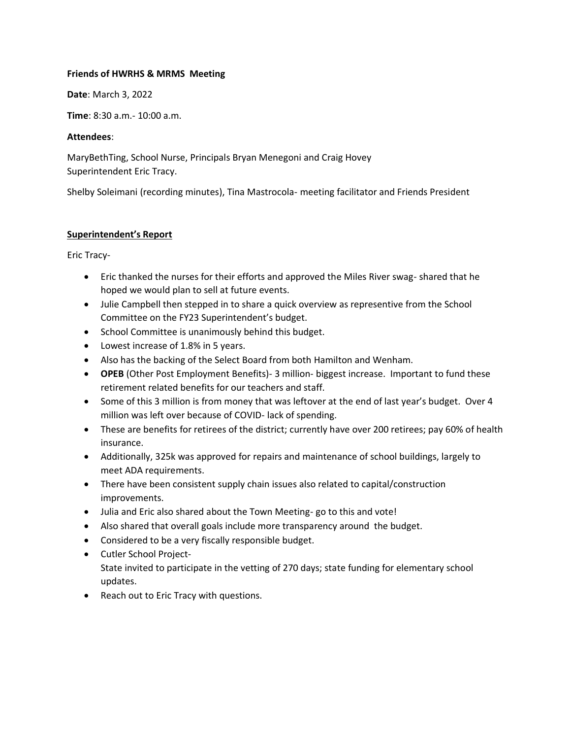# **Friends of HWRHS & MRMS Meeting**

**Date**: March 3, 2022

**Time**: 8:30 a.m.- 10:00 a.m.

## **Attendees**:

MaryBethTing, School Nurse, Principals Bryan Menegoni and Craig Hovey Superintendent Eric Tracy.

Shelby Soleimani (recording minutes), Tina Mastrocola- meeting facilitator and Friends President

# **Superintendent's Report**

Eric Tracy-

- Eric thanked the nurses for their efforts and approved the Miles River swag- shared that he hoped we would plan to sell at future events.
- Julie Campbell then stepped in to share a quick overview as representive from the School Committee on the FY23 Superintendent's budget.
- School Committee is unanimously behind this budget.
- Lowest increase of 1.8% in 5 years.
- Also has the backing of the Select Board from both Hamilton and Wenham.
- **OPEB** (Other Post Employment Benefits)- 3 million- biggest increase. Important to fund these retirement related benefits for our teachers and staff.
- Some of this 3 million is from money that was leftover at the end of last year's budget. Over 4 million was left over because of COVID- lack of spending.
- These are benefits for retirees of the district; currently have over 200 retirees; pay 60% of health insurance.
- Additionally, 325k was approved for repairs and maintenance of school buildings, largely to meet ADA requirements.
- There have been consistent supply chain issues also related to capital/construction improvements.
- Julia and Eric also shared about the Town Meeting- go to this and vote!
- Also shared that overall goals include more transparency around the budget.
- Considered to be a very fiscally responsible budget.
- Cutler School Project-State invited to participate in the vetting of 270 days; state funding for elementary school updates.
- Reach out to Eric Tracy with questions.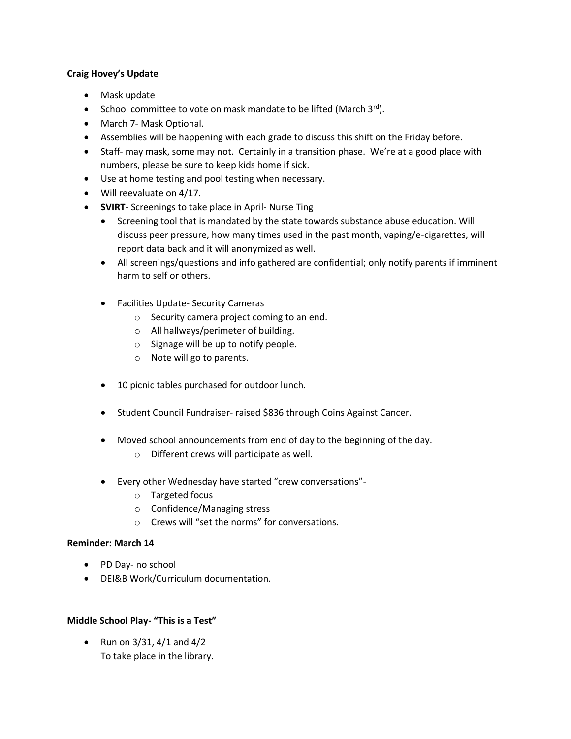## **Craig Hovey's Update**

- Mask update
- School committee to vote on mask mandate to be lifted (March 3rd).
- March 7- Mask Optional.
- Assemblies will be happening with each grade to discuss this shift on the Friday before.
- Staff- may mask, some may not. Certainly in a transition phase. We're at a good place with numbers, please be sure to keep kids home if sick.
- Use at home testing and pool testing when necessary.
- Will reevaluate on 4/17.
- **SVIRT** Screenings to take place in April- Nurse Ting
	- Screening tool that is mandated by the state towards substance abuse education. Will discuss peer pressure, how many times used in the past month, vaping/e-cigarettes, will report data back and it will anonymized as well.
	- All screenings/questions and info gathered are confidential; only notify parents if imminent harm to self or others.
	- Facilities Update- Security Cameras
		- o Security camera project coming to an end.
		- o All hallways/perimeter of building.
		- o Signage will be up to notify people.
		- o Note will go to parents.
	- 10 picnic tables purchased for outdoor lunch.
	- Student Council Fundraiser- raised \$836 through Coins Against Cancer.
	- Moved school announcements from end of day to the beginning of the day.
		- o Different crews will participate as well.
	- Every other Wednesday have started "crew conversations"
		- o Targeted focus
		- o Confidence/Managing stress
		- o Crews will "set the norms" for conversations.

#### **Reminder: March 14**

- PD Day- no school
- DEI&B Work/Curriculum documentation.

# **Middle School Play- "This is a Test"**

• Run on  $3/31$ ,  $4/1$  and  $4/2$ To take place in the library.